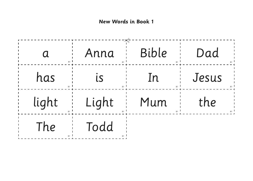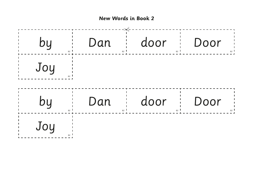

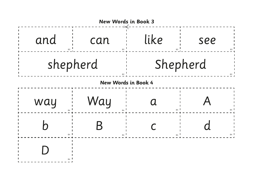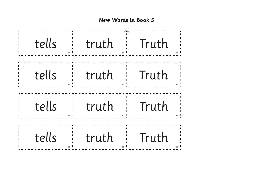

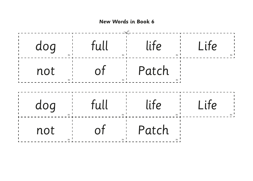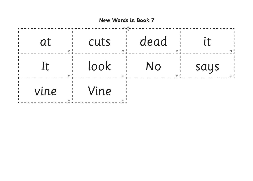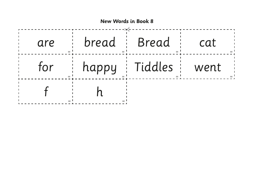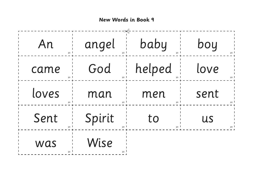**New Words in Book 9**

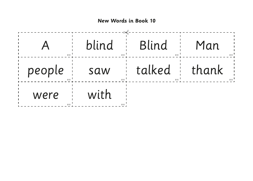

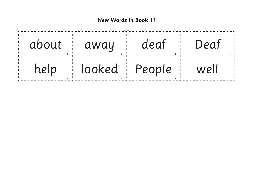

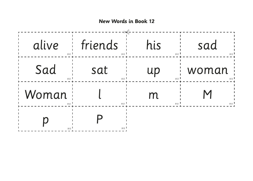**New Words in Book 12**

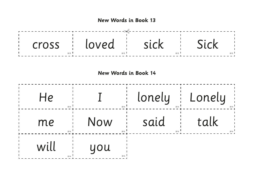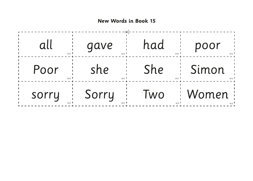

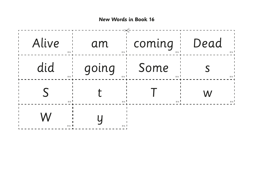**New Words in Book 16**

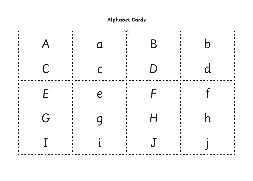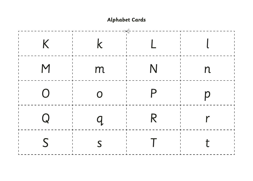